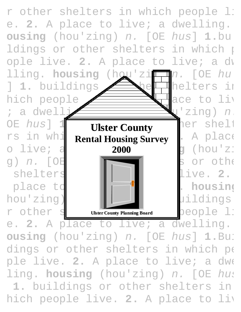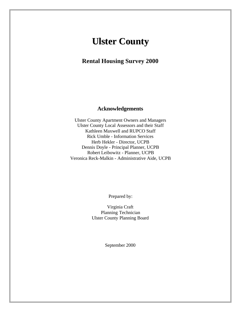# **Ulster County**

**Rental Housing Survey 2000**

#### **Acknowledgements**

Ulster County Apartment Owners and Managers Ulster County Local Assessors and their Staff Kathleen Maxwell and RUPCO Staff Rick Umble - Information Services Herb Hekler - Director, UCPB Dennis Doyle - Principal Planner, UCPB Robert Leibowitz - Planner, UCPB Veronica Reck-Malkin - Administrative Aide, UCPB

Prepared by:

Virginia Craft Planning Technician Ulster County Planning Board

September 2000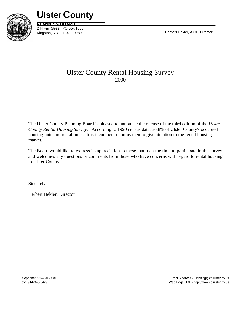

**Ulster County**

**PLANNING BOARD** 244 Fair Street, PO Box 1800 Kingston, N.Y. 12402-0080 **Herbert Hekler, AICP, Director** 

# Ulster County Rental Housing Survey 2000

The Ulster County Planning Board is pleased to announce the release of the third edition of the *Ulster County Rental Housing Survey*. According to 1990 census data, 30.8% of Ulster County's occupied housing units are rental units. It is incumbent upon us then to give attention to the rental housing market.

The Board would like to express its appreciation to those that took the time to participate in the survey and welcomes any questions or comments from those who have concerns with regard to rental housing in Ulster County.

Sincerely,

Herbert Hekler, Director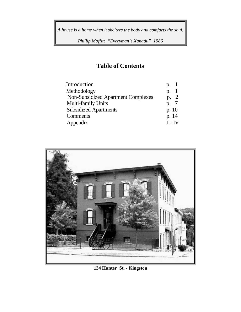*A house is a home when it shelters the body and comforts the soul.*

*Phillip Moffitt "Everyman's Xanadu" 1986*

# **Table of Contents**

| Introduction                              | $p_{\cdot}$ |
|-------------------------------------------|-------------|
| Methodology                               | p.          |
| <b>Non-Subsidized Apartment Complexes</b> | p. 2        |
| Multi-family Units                        | p. 7        |
| <b>Subsidized Apartments</b>              | p. $10$     |
| Comments                                  | p. 14       |
| Appendix                                  | $I - IV$    |
|                                           |             |



**134 Hunter St. - Kingston**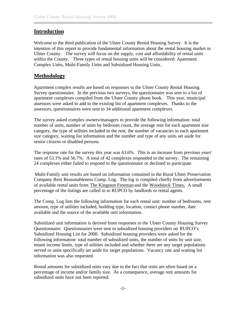#### <span id="page-4-0"></span>**Introduction**

Welcome to the third publication of the Ulster County Rental Housing Survey. It is the intention of this report to provide fundamental information about the rental housing market in Ulster County. The survey will focus on the supply, cost and affordability of rental units within the County. Three types of rental housing units will be considered: Apartment Complex Units, Multi-Family Units and Subsidized Housing Units.

### **Methodology**

Apartment complex results are based on responses to the Ulster County Rental Housing Survey questionnaire. In the previous two surveys, the questionnaire was sent to a list of apartment complexes compiled from the Ulster County phone book. This year, municipal assessors were asked to add to the existing list of apartment complexes. Thanks to the assessors, questionnaires were sent to 34 additional apartment complexes.

The survey asked complex owners/managers to provide the following information: total number of units, number of units by bedroom count, the average rent for each apartment size category, the type of utilities included in the rent, the number of vacancies in each apartment size category, waiting list information and the number and type of any units set aside for senior citizens or disabled persons.

The response rate for the survey this year was 63.6%. This is an increase from previous years' rates of 53.1% and 56.7%. A total of 42 complexes responded to the survey. The remaining 24 complexes either failed to respond to the questionnaire or declined to participate.

 Multi-Family unit results are based on information contained in the Rural Ulster Preservation Company Rent Reasonableness Comp. Log. The log is compiled chiefly from advertisements of available rental units from The Kingston Freeman and the Woodstock Times**.** A small percentage of the listings are called in to RUPCO by landlords or rental agents.

 The Comp. Log lists the following information for each rental unit: number of bedrooms, rent amount, type of utilities included, building type, location, contact phone number, date available and the source of the available unit information.

Subsidized unit information is derived from responses to the Ulster County Housing Survey Questionnaire. Questionnaires were sent to subsidized housing providers on RUPCO's Subsidized Housing List for 2000. Subsidized housing providers were asked for the following information: total number of subsidized units, the number of units by unit size, tenant income limits, type of utilities included and whether there are any target populations served or units specifically set aside for target populations. Vacancy rate and waiting list information was also requested.

Rental amounts for subsidized units vary due to the fact that rents are often based on a percentage of income and/or family size. As a consequence, average rent amounts for subsidized units have not been reported.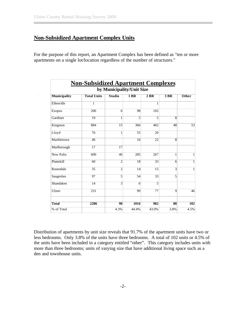### <span id="page-5-0"></span>**Non-Subsidized Apartment Complex Units**

For the purpose of this report, an Apartment Complex has been defined as "ten or more apartments on a single lot/location regardless of the number of structures."

|                           | <b>Non-Subsidized Apartment Complexes</b> |                |                |       |                |              |  |  |  |  |  |
|---------------------------|-------------------------------------------|----------------|----------------|-------|----------------|--------------|--|--|--|--|--|
| by Municipality/Unit Size |                                           |                |                |       |                |              |  |  |  |  |  |
| <b>Municipality</b>       | <b>Total Units</b>                        | <b>Studio</b>  | $1$ BR         | 2 BR  | 3 BR           | Other        |  |  |  |  |  |
| Ellenville                | $\mathbf{1}$                              |                |                | 1     |                |              |  |  |  |  |  |
| Esopus                    | 206                                       | 6              | 98             | 102   |                |              |  |  |  |  |  |
| Gardiner                  | 19                                        | 1              | 5              | 5     | $\overline{8}$ |              |  |  |  |  |  |
| Kingston                  | 884                                       | 15             | 366            | 402   | 48             | 53           |  |  |  |  |  |
| Lloyd                     | 76                                        | 1              | 55             | 20    |                |              |  |  |  |  |  |
| Marbletown                | 46                                        |                | 16             | 22    | $\overline{8}$ |              |  |  |  |  |  |
| Marlborough               | 17                                        | 17             |                |       |                |              |  |  |  |  |  |
| <b>New Paltz</b>          | 600                                       | 46             | 285            | 267   | 1              | 1            |  |  |  |  |  |
| Plattekill                | 60                                        | $\overline{2}$ | 18             | 33    | $\overline{6}$ | 1            |  |  |  |  |  |
| Rosendale                 | 35                                        | $\overline{2}$ | 14             | 15    | 3              | $\mathbf{1}$ |  |  |  |  |  |
| Saugerties                | 97                                        | 5              | 54             | 33    | 5              |              |  |  |  |  |  |
| Shandaken                 | $\overline{14}$                           | $\overline{3}$ | $\overline{6}$ | 5     |                |              |  |  |  |  |  |
| Ulster                    | 231                                       |                | 99             | 77    | 9              | 46           |  |  |  |  |  |
|                           |                                           |                |                |       |                |              |  |  |  |  |  |
| <b>Total</b>              | 2286                                      | 98             | 1016           | 982   | 88             | 102          |  |  |  |  |  |
| % of Total                |                                           | 4.3%           | 44.4%          | 43.0% | 3.8%           | 4.5%         |  |  |  |  |  |

Distribution of apartments by unit size reveals that 91.7% of the apartment units have two or less bedrooms. Only 3.8% of the units have three bedrooms. A total of 102 units or 4.5% of the units have been included in a category entitled "other". This category includes units with more than three bedrooms; units of varying size that have additional living space such as a den and townhouse units.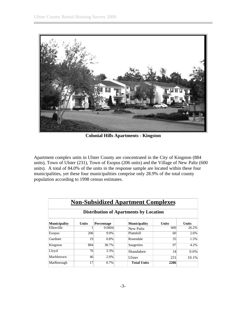

**Colonial Hills Apartments - Kingston**

Apartment complex units in Ulster County are concentrated in the City of Kingston (884 units), Town of Ulster (231), Town of Esopus (206 units) and the Village of New Paltz (600 units). A total of 84.0% of the units in the response sample are located within these four municipalities, yet these four municipalities comprise only 28.9% of the total county population according to 1998 census estimates.

|                                               | <b>Non-Subsidized Apartment Complexes</b> |            |  |                     |              |              |  |  |  |  |  |
|-----------------------------------------------|-------------------------------------------|------------|--|---------------------|--------------|--------------|--|--|--|--|--|
| <b>Distribution of Apartments by Location</b> |                                           |            |  |                     |              |              |  |  |  |  |  |
| <b>Municipality</b>                           | <b>Units</b>                              | Percentage |  | <b>Municipality</b> | <b>Units</b> | <b>Units</b> |  |  |  |  |  |
| Ellenville                                    |                                           | 0.0004     |  | New Paltz           | 600          | 26.2%        |  |  |  |  |  |
| <b>Esopus</b>                                 | 206                                       | $9.0\%$    |  | Plattekill          | 60           | 2.6%         |  |  |  |  |  |
| Gardiner                                      | 19                                        | 0.8%       |  | Rosendale           | 35           | 1.5%         |  |  |  |  |  |
| Kingston                                      | 884                                       | 38.7%      |  | Saugerties          | 97           | 4.2%         |  |  |  |  |  |
| Lloyd                                         | 76                                        | 3.3%       |  | Shandaken           | 14           | 0.6%         |  |  |  |  |  |
| Marbletown                                    | 46                                        | 2.0%       |  | Ulster              | 231          | 10.1%        |  |  |  |  |  |
| Marlborough                                   | 17                                        | $0.7\%$    |  | <b>Total Units</b>  | 2286         |              |  |  |  |  |  |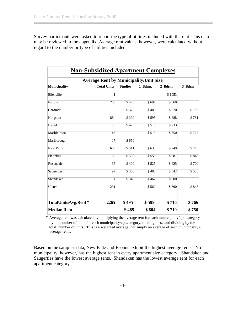Survey participants were asked to report the type of utilities included with the rent. This data may be reviewed in the appendix. Average rent values, however, were calculated without regard to the number or type of utilities included.

| <b>Non-Subsidized Apartment Complexes</b>     |                    |                |         |         |        |  |  |  |  |  |  |
|-----------------------------------------------|--------------------|----------------|---------|---------|--------|--|--|--|--|--|--|
| <b>Average Rent by Municipality/Unit Size</b> |                    |                |         |         |        |  |  |  |  |  |  |
| <b>Municipality</b>                           | <b>Total Units</b> | <b>Studios</b> | 1 Bdrm. | 2 Bdrm. | 3 Bdrm |  |  |  |  |  |  |
| Ellenville                                    | $\overline{1}$     |                |         | \$1053  |        |  |  |  |  |  |  |
| Esopus                                        | 206                | \$425          | \$697   | \$860   |        |  |  |  |  |  |  |
| Gardiner                                      | 19                 | \$375          | \$480   | \$670   | \$700  |  |  |  |  |  |  |
| Kingston                                      | 884                | \$390          | \$595   | \$688   | \$781  |  |  |  |  |  |  |
| Lloyd                                         | 76                 | \$475          | \$519   | \$733   |        |  |  |  |  |  |  |
| Marbletown                                    | 46                 |                | \$515   | \$650   | \$725  |  |  |  |  |  |  |
| Marlborough                                   | 17                 | \$650          |         |         |        |  |  |  |  |  |  |
| <b>New Paltz</b>                              | 600                | \$511          | \$636   | \$749   | \$775  |  |  |  |  |  |  |
| Plattekill                                    | 60                 | \$500          | \$558   | \$681   | \$845  |  |  |  |  |  |  |
| Rosendale                                     | $\overline{35}$    | \$400          | \$525   | \$625   | \$700  |  |  |  |  |  |  |
| Saugerties                                    | 97                 | \$380          | \$480   | \$542   | \$588  |  |  |  |  |  |  |
| Shandaken                                     | $\overline{14}$    | \$340          | \$467   | \$500   |        |  |  |  |  |  |  |
| Ulster                                        | 231                |                | \$569   | \$690   | \$845  |  |  |  |  |  |  |
| TotalUnits/Avg.Rent*                          | 2265               | \$495          | \$599   | \$716   | \$766  |  |  |  |  |  |  |
| <b>Median Rent</b>                            |                    | \$485          | \$604   | \$710   | \$750  |  |  |  |  |  |  |

 \* Average rent was calculated by multiplying the average rent for each municipality/apt. category by the number of units for each municipality/apt.category, totaling these and dividing by the total number of units. This is a weighted average; not simply an average of each municipality's average rents.

Based on the sample's data, New Paltz and Esopus exhibit the highest average rents. No municipality, however, has the highest rent in every apartment size category. Shandaken and Saugerties have the lowest average rents. Shandaken has the lowest average rent for each apartment category.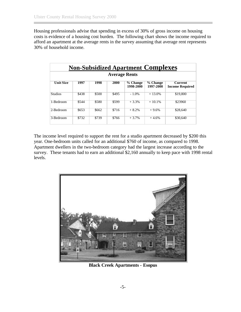Housing professionals advise that spending in excess of 30% of gross income on housing costs is evidence of a housing cost burden. The following chart shows the income required to afford an apartment at the average rents in the survey assuming that average rent represents 30% of household income.

|                  | <b>Non-Subsidized Apartment Complexes</b> |       |       |                       |                       |                                   |  |  |  |  |
|------------------|-------------------------------------------|-------|-------|-----------------------|-----------------------|-----------------------------------|--|--|--|--|
|                  | <b>Average Rents</b>                      |       |       |                       |                       |                                   |  |  |  |  |
| <b>Unit Size</b> | 1997                                      | 1998  | 2000  | % Change<br>1998-2000 | % Change<br>1997-2000 | Current<br><b>Income Required</b> |  |  |  |  |
| <b>Studios</b>   | \$438                                     | \$500 | \$495 | $-1.0%$               | $+13.0%$              | \$19,800                          |  |  |  |  |
| 1-Bedroom        | \$544                                     | \$580 | \$599 | $+3.3%$               | $+10.1%$              | \$23960                           |  |  |  |  |
| 2-Bedroom        | \$653                                     | \$662 | \$716 | $+8.2%$               | $+9.6%$               | \$28,640                          |  |  |  |  |
| 3-Bedroom        | \$732                                     | \$739 | \$766 | $+3.7%$               | $+4.6%$               | \$30,640                          |  |  |  |  |

The income level required to support the rent for a studio apartment decreased by \$200 this year. One-bedroom units called for an additional \$760 of income, as compared to 1998. Apartment dwellers in the two-bedroom category had the largest increase according to the survey. These tenants had to earn an additional \$2,160 annually to keep pace with 1998 rental levels.



**Black Creek Apartments - Esopus**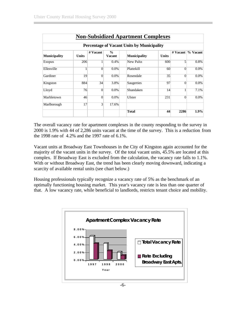|                                                   | <b>Non-Subsidized Apartment Complexes</b> |                |                                |                     |              |                |            |  |  |  |  |
|---------------------------------------------------|-------------------------------------------|----------------|--------------------------------|---------------------|--------------|----------------|------------|--|--|--|--|
| <b>Percentage of Vacant Units by Municipality</b> |                                           |                |                                |                     |              |                |            |  |  |  |  |
| <b>Municipality</b>                               | <b>Units</b>                              | $#$ Vacant     | $\frac{0}{0}$<br><b>Vacant</b> | <b>Municipality</b> | <b>Units</b> | $#$ Vacant     | $%$ Vacant |  |  |  |  |
| Esopus                                            | 206                                       |                | 0.4%                           | New Paltz           | 600          | 5              | 0.8%       |  |  |  |  |
| Ellenville                                        | 1                                         | $\Omega$       | $0.0\%$                        | Plattekill          | 60           | $\Omega$       | $0.0\%$    |  |  |  |  |
| Gardiner                                          | 19                                        | $\Omega$       | 0.0%                           | Rosendale           | 35           | $\Omega$       | $0.0\%$    |  |  |  |  |
| Kingston                                          | 884                                       | 34             | 3.8%                           | Saugerties          | 97           | $\overline{0}$ | $0.0\%$    |  |  |  |  |
| Lloyd                                             | 76                                        | $\Omega$       | $0.0\%$                        | Shandaken           | 14           | 1              | 7.1%       |  |  |  |  |
| Marbletown                                        | 46                                        | $\Omega$       | $0.0\%$                        | Ulster              | 231          | $\Omega$       | $0.0\%$    |  |  |  |  |
| Marlborough                                       | 17                                        | $\overline{3}$ | 17.6%                          |                     |              |                |            |  |  |  |  |
|                                                   |                                           |                |                                | Total               | 44           | 2286           | $1.9\%$    |  |  |  |  |

The overall vacancy rate for apartment complexes in the county responding to the survey in 2000 is 1.9% with 44 of 2,286 units vacant at the time of the survey. This is a reduction from the 1998 rate of 4.2% and the 1997 rate of 6.1%.

Vacant units at Broadway East Townhouses in the City of Kingston again accounted for the majority of the vacant units in the survey. Of the total vacant units, 45.5% are located at this complex. If Broadway East is excluded from the calculation, the vacancy rate falls to 1.1%. With or without Broadway East, the trend has been clearly moving downward, indicating a scarcity of available rental units (see chart below.)

Housing professionals typically recognize a vacancy rate of 5% as the benchmark of an optimally functioning housing market. This year's vacancy rate is less than one quarter of that. A low vacancy rate, while beneficial to landlords, restricts tenant choice and mobility.

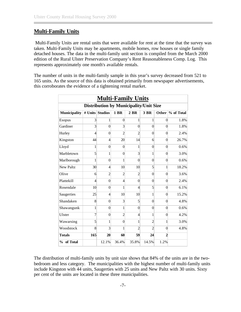#### <span id="page-10-0"></span>**Multi-Family Units**

 Multi-Family Units are rental units that were available for rent at the time that the survey was taken. Multi-Family Units may be apartments, mobile homes, row houses or single family detached houses. The data in the multi-family unit section is compiled from the March 2000 edition of the Rural Ulster Preservation Company's Rent Reasonableness Comp. Log. This represents approximately one month's available rentals.

The number of units in the multi-family sample in this year's survey decreased from 521 to 165 units. As the source of this data is obtained primarily from newspaper advertisements, this corroborates the evidence of a tightening rental market.

|                     | <b>Multi-Family Units</b> |                 |                |                                               |                |                |            |  |  |  |  |  |
|---------------------|---------------------------|-----------------|----------------|-----------------------------------------------|----------------|----------------|------------|--|--|--|--|--|
|                     |                           |                 |                | <b>Distribution by Municipality/Unit Size</b> |                |                |            |  |  |  |  |  |
| <b>Municipality</b> |                           | # Units Studios | <b>1 BR</b>    | $2$ BR                                        | 3 BR           | Other          | % of Total |  |  |  |  |  |
| Esopus              | 3                         | 1               | $\theta$       | 1                                             | 1              | $\theta$       | 1.8%       |  |  |  |  |  |
| Gardiner            | 3                         | $\theta$        | $\overline{3}$ | $\overline{0}$                                | $\theta$       | $\theta$       | 1.8%       |  |  |  |  |  |
| Hurley              | $\overline{4}$            | $\theta$        | $\overline{2}$ | $\overline{2}$                                | $\theta$       | $\theta$       | 2.4%       |  |  |  |  |  |
| Kingston            | 44                        | $\overline{4}$  | 20             | 14                                            | 6              | $\theta$       | 26.7%      |  |  |  |  |  |
| Lloyd               | 1                         | $\overline{0}$  | $\theta$       | $\mathbf{1}$                                  | $\overline{0}$ | $\theta$       | 0.6%       |  |  |  |  |  |
| Marbletown          | 5                         | 1               | $\theta$       | $\overline{3}$                                | 1              | $\theta$       | 3.0%       |  |  |  |  |  |
| Marlborough         | 1                         | $\theta$        | 1              | $\theta$                                      | $\overline{0}$ | $\overline{0}$ | 0.6%       |  |  |  |  |  |
| <b>New Paltz</b>    | 30                        | $\overline{4}$  | 10             | 10                                            | $\mathfrak{S}$ | 1              | 18.2%      |  |  |  |  |  |
| Olive               | 6                         | $\overline{2}$  | $\overline{2}$ | $\overline{c}$                                | $\overline{0}$ | $\theta$       | 3.6%       |  |  |  |  |  |
| Plattekill          | $\overline{4}$            | $\theta$        | $\overline{4}$ | $\theta$                                      | $\theta$       | $\theta$       | 2.4%       |  |  |  |  |  |
| Rosendale           | 10                        | $\theta$        | 1              | $\overline{4}$                                | 5              | $\theta$       | 6.1%       |  |  |  |  |  |
| Saugerties          | 25                        | $\overline{4}$  | 10             | 10                                            | 1              | $\overline{0}$ | 15.2%      |  |  |  |  |  |
| Shandaken           | 8                         | $\theta$        | $\overline{3}$ | 5                                             | $\theta$       | $\theta$       | 4.8%       |  |  |  |  |  |
| Shawangunk          | 1                         | $\theta$        | 1              | $\theta$                                      | $\theta$       | $\theta$       | 0.6%       |  |  |  |  |  |
| Ulster              | $\overline{7}$            | $\theta$        | $\overline{c}$ | $\overline{4}$                                | 1              | $\overline{0}$ | 4.2%       |  |  |  |  |  |
| Wawarsing           | 5                         | 1               | $\theta$       | $\mathbf{1}$                                  | $\overline{c}$ | 1              | 3.0%       |  |  |  |  |  |
| Woodstock           | 8                         | 3               | 1              | $\overline{2}$                                | $\overline{c}$ | $\theta$       | 4.8%       |  |  |  |  |  |
| <b>Totals</b>       | 165                       | 20              | 60             | 59                                            | 24             | $\overline{2}$ |            |  |  |  |  |  |
| % of Total          |                           | 12.1%           | 36.4%          | 35.8%                                         | 14.5%          | 1.2%           |            |  |  |  |  |  |

The distribution of multi-family units by unit size shows that 84% of the units are in the twobedroom and less category. The municipalities with the highest number of multi-family units include Kingston with 44 units, Saugerties with 25 units and New Paltz with 30 units. Sixty per cent of the units are located in these three municipalities.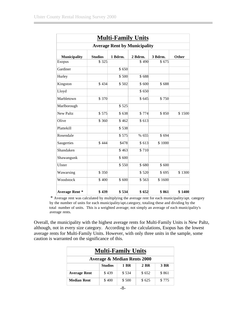| <b>Multi-Family Units</b><br><b>Average Rent by Municipality</b> |       |       |       |        |        |  |  |  |  |  |
|------------------------------------------------------------------|-------|-------|-------|--------|--------|--|--|--|--|--|
|                                                                  |       |       |       |        |        |  |  |  |  |  |
| Esopus                                                           | \$325 |       | \$490 | \$675  |        |  |  |  |  |  |
| Gardiner                                                         |       | \$650 |       |        |        |  |  |  |  |  |
| Hurley                                                           |       | \$500 | \$688 |        |        |  |  |  |  |  |
| Kingston                                                         | \$434 | \$502 | \$600 | \$688  |        |  |  |  |  |  |
| Lloyd                                                            |       |       | \$650 |        |        |  |  |  |  |  |
| Marbletown                                                       | \$370 |       | \$645 | \$750  |        |  |  |  |  |  |
| Marlborough                                                      |       | \$525 |       |        |        |  |  |  |  |  |
| <b>New Paltz</b>                                                 | \$575 | \$638 | \$774 | \$850  | \$1500 |  |  |  |  |  |
| Olive                                                            | \$360 | \$462 | \$613 |        |        |  |  |  |  |  |
| Plattekill                                                       |       | \$538 |       |        |        |  |  |  |  |  |
| Rosendale                                                        |       | \$575 | % 655 | \$694  |        |  |  |  |  |  |
| Saugerties                                                       | \$444 | \$478 | \$613 | \$1000 |        |  |  |  |  |  |
| Shandaken                                                        |       | \$463 | \$710 |        |        |  |  |  |  |  |
| Shawangunk                                                       |       | \$600 |       |        |        |  |  |  |  |  |
| Ulster                                                           |       | \$550 | \$680 | \$600  |        |  |  |  |  |  |
| Wawarsing                                                        | \$350 |       | \$520 | \$695  | \$1300 |  |  |  |  |  |
| Woodstock                                                        | \$400 | \$600 | \$563 | \$1600 |        |  |  |  |  |  |
| <b>Average Rent *</b>                                            | \$439 | \$534 | \$652 | \$861  | \$1400 |  |  |  |  |  |

 \* Average rent was calculated by multiplying the average rent for each municipality/apt. category by the number of units for each municipality/apt.category, totaling these and dividing by the total number of units. This is a weighted average; not simply an average of each municipality's average rents.

Overall, the municipality with the highest average rents for Multi-Family Units is New Paltz, although, not in every size category. According to the calculations, Esopus has the lowest average rents for Multi-Family Units. However, with only three units in the sample, some caution is warranted on the significance of this.

| <b>Multi-Family Units</b>              |       |       |       |       |  |  |  |  |  |  |
|----------------------------------------|-------|-------|-------|-------|--|--|--|--|--|--|
| <b>Average &amp; Median Rents 2000</b> |       |       |       |       |  |  |  |  |  |  |
| 3 BR<br><b>Studios</b><br>2 BR<br>1 RR |       |       |       |       |  |  |  |  |  |  |
| <b>Average Rent</b>                    | \$439 | \$534 | \$652 | \$861 |  |  |  |  |  |  |
| <b>Median Rent</b>                     | \$400 | \$500 | \$625 | \$775 |  |  |  |  |  |  |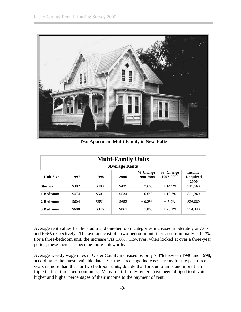

**Two Apartment Multi-Family in New Paltz**

| <b>Multi-Family Units</b> |                                             |                                   |       |         |          |          |  |  |  |  |
|---------------------------|---------------------------------------------|-----------------------------------|-------|---------|----------|----------|--|--|--|--|
| <b>Average Rents</b>      |                                             |                                   |       |         |          |          |  |  |  |  |
| <b>Unit Size</b>          | $\frac{9}{6}$<br><b>Change</b><br>1997-2000 | <b>Income</b><br>Required<br>2000 |       |         |          |          |  |  |  |  |
| <b>Studios</b>            | \$382                                       | \$408                             | \$439 | $+7.6%$ | $+14.9%$ | \$17,560 |  |  |  |  |
| 1 Bedroom                 | \$474                                       | \$501                             | \$534 | $+6.6%$ | $+12.7%$ | \$21,360 |  |  |  |  |
| 2 Bedroom                 | \$604                                       | \$651                             | \$652 | $+0.2%$ | $+7.9%$  | \$26,080 |  |  |  |  |
| 3 Bedroom                 | \$688                                       | \$846                             | \$861 | $+1.8%$ | $+25.1%$ | \$34,440 |  |  |  |  |

Average rent values for the studio and one-bedroom categories increased moderately at 7.6% and 6.6% respectively. The average cost of a two-bedroom unit increased minimally at 0.2%. For a three-bedroom unit, the increase was 1.8%. However, when looked at over a three-year period, these increases become more noteworthy.

Average weekly wage rates in Ulster County increased by only 7.4% between 1990 and 1998, according to the latest available data. Yet the percentage increase in rents for the past three years is more than that for two bedroom units, double that for studio units and more than triple that for three bedroom units. Many multi-family renters have been obliged to devote higher and higher percentages of their income to the payment of rent.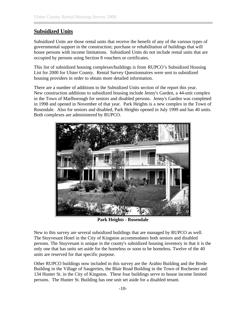#### <span id="page-13-0"></span>**Subsidized Units**

Subsidized Units are those rental units that receive the benefit of any of the various types of governmental support in the construction; purchase or rehabilitation of buildings that will house persons with income limitations. Subsidized Units do not include rental units that are occupied by persons using Section 8 vouchers or certificates.

This list of subsidized housing complexes/buildings is from RUPCO's Subsidized Housing List for 2000 for Ulster County. Rental Survey Questionnaires were sent to subsidized housing providers in order to obtain more detailed information.

There are a number of additions to the Subsidized Units section of the report this year. New construction additions to subsidized housing include Jenny's Garden, a 44-unit complex in the Town of Marlborough for seniors and disabled persons. Jenny's Garden was completed in 1998 and opened in November of that year. Park Heights is a new complex in the Town of Rosendale. Also for seniors and disabled, Park Heights opened in July 1999 and has 40 units. Both complexes are administered by RUPCO.



**Park Heights - Rosendale**

New to this survey are several subsidized buildings that are managed by RUPCO as well. The Stuyvesant Hotel in the City of Kingston accommodates both seniors and disabled persons. The Stuyvesant is unique in the county's subsidized housing inventory in that it is the only one that has units set aside for the homeless or soon to be homeless. Twelve of the 40 units are reserved for that specific purpose.

Other RUPCO buildings now included in this survey are the Arabio Building and the Brede Building in the Village of Saugerties, the Blair Road Building in the Town of Rochester and 134 Hunter St. in the City of Kingston. These four buildings serve to house income limited persons. The Hunter St. Building has one unit set aside for a disabled tenant.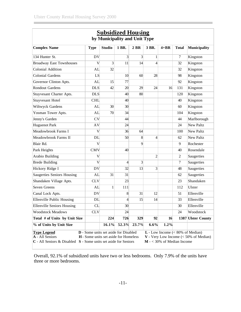| <b>Subsidized Housing</b><br>by Municipality and Unit Type                                                                                                                                                                                                                                                                     |             |                 |                 |                |                |          |              |                     |
|--------------------------------------------------------------------------------------------------------------------------------------------------------------------------------------------------------------------------------------------------------------------------------------------------------------------------------|-------------|-----------------|-----------------|----------------|----------------|----------|--------------|---------------------|
| <b>Complex Name</b>                                                                                                                                                                                                                                                                                                            | <b>Type</b> | <b>Studio</b>   | 1 BR.           | 2 BR           | 3 BR.          | $4 + BR$ | <b>Total</b> | <b>Municipality</b> |
| 134 Hunter St.                                                                                                                                                                                                                                                                                                                 | <b>DV</b>   |                 | $\overline{3}$  | 3              | 1              |          | $\tau$       | Kingston            |
| <b>Broadway East Townhouses</b>                                                                                                                                                                                                                                                                                                | V           | $\overline{3}$  | 11              | 4              | $\overline{4}$ |          | 32           | Kingston            |
| <b>Colonial Addition</b>                                                                                                                                                                                                                                                                                                       | AL          | 32              |                 |                |                |          | 32           | Kingston            |
| <b>Colonial Gardens</b>                                                                                                                                                                                                                                                                                                        | LS          |                 | 10 <sup>l</sup> | 60             | 28             |          | 98           | Kingston            |
| Governor Clinton Apts.                                                                                                                                                                                                                                                                                                         | <b>AL</b>   | 15              | 77              |                |                |          | 92           | Kingston            |
| <b>Rondout Gardens</b>                                                                                                                                                                                                                                                                                                         | <b>DLS</b>  | 42              | 20              | 29             | 24             | 16       | 131          | Kingston            |
| Stuyvesant Charter Apts.                                                                                                                                                                                                                                                                                                       | <b>DLS</b>  |                 | 40              | 80             |                |          | 120          | Kingston            |
| <b>Stuyvesant Hotel</b>                                                                                                                                                                                                                                                                                                        | <b>CHL</b>  |                 | 40              |                |                |          | 40           | Kingston            |
| Wiltwyck Gardens                                                                                                                                                                                                                                                                                                               | AL          | 30 <sup>°</sup> | 30 <sup>l</sup> |                |                |          | 60           | Kingston            |
| Yosman Tower Apts.                                                                                                                                                                                                                                                                                                             | AL          | 70              | 34              |                |                |          | 104          | Kingston            |
| Jenny's Garden                                                                                                                                                                                                                                                                                                                 | <b>CV</b>   |                 | 44              |                |                |          | 44           | Marlborough         |
| <b>Huguenot Park</b>                                                                                                                                                                                                                                                                                                           | <b>AV</b>   |                 | 24              |                |                |          | 24           | <b>New Paltz</b>    |
| Meadowbrook Farms I                                                                                                                                                                                                                                                                                                            | V           |                 | 36              | 64             |                |          | 100          | New Paltz           |
| Meadowbrook Farms II                                                                                                                                                                                                                                                                                                           | DL          |                 | 50              | 8              | $\overline{4}$ |          | 62           | New Paltz           |
| Blair Rd.                                                                                                                                                                                                                                                                                                                      | V           |                 |                 | $\overline{9}$ |                |          | 9            | Rochester           |
| Park Heights                                                                                                                                                                                                                                                                                                                   | <b>CMV</b>  |                 | 40              |                |                |          | 40           | Rosendale           |
| Arabio Building                                                                                                                                                                                                                                                                                                                | V           |                 |                 |                | $\overline{2}$ |          | 2            | Saugerties          |
| <b>Brede Building</b>                                                                                                                                                                                                                                                                                                          | V           |                 | $\vert 4 \vert$ | $\overline{3}$ |                |          | $\tau$       | Saugerties          |
| Hickory Ridge I                                                                                                                                                                                                                                                                                                                | <b>DV</b>   |                 | 32              | 13             | 3              |          | 48           | Saugerties          |
| <b>Saugerties Seniors Housing</b>                                                                                                                                                                                                                                                                                              | <b>AL</b>   | 31              | 31              |                |                |          | 62           | Saugerties          |
| Shandaken Village Apts.                                                                                                                                                                                                                                                                                                        | <b>CLV</b>  |                 | 23              |                |                |          | 23           | Shandaken           |
| Seven Greens                                                                                                                                                                                                                                                                                                                   | AL          | $\mathbf{1}$    | 111             |                |                |          | 112          | Ulster              |
| Canal Lock Apts.                                                                                                                                                                                                                                                                                                               | <b>DV</b>   |                 | 8 <sup>1</sup>  | 31             | 12             |          | 51           | Ellenville          |
| <b>Ellenville Public Housing</b>                                                                                                                                                                                                                                                                                               | DL          |                 | $\overline{4}$  | 15             | 14             |          | 33           | Ellenville          |
| <b>Ellenville Seniors Housing</b>                                                                                                                                                                                                                                                                                              | CL          |                 | 30 <sup>2</sup> |                |                |          | 30           | Ellenville          |
| <b>Woodstock Meadows</b>                                                                                                                                                                                                                                                                                                       | <b>CLV</b>  |                 | 24              |                |                |          | 24           | Woodstock           |
| Total # of Units by Unit Size                                                                                                                                                                                                                                                                                                  |             | 224             | 726             | 329            | 92             | 16       |              | 1387 Ulster County  |
| % of Units by Unit Size                                                                                                                                                                                                                                                                                                        |             | 16.1%           | 52.3%           | 23.7%          | 6.6%           | 1.2%     |              |                     |
| <b>D</b> - Some units set aside for Disabled<br>$L$ - Low Income (< 80% of Median)<br><b>Type Legend</b><br>A - All Seniors<br><b>H</b> - Some units set aside for Homeless<br>$V$ - Very Low Income (< 50% of Median)<br>$C$ - All Seniors & Disabled $S$ - Some units set aside for Seniors<br>$M - < 30\%$ of Median Income |             |                 |                 |                |                |          |              |                     |

Overall, 92.1% of subsidized units have two or less bedrooms. Only 7.9% of the units have three or more bedrooms.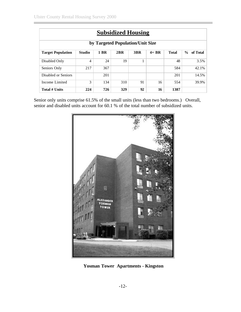| <b>Subsidized Housing</b>                                                                                                      |                                             |     |     |    |    |      |       |  |  |  |  |
|--------------------------------------------------------------------------------------------------------------------------------|---------------------------------------------|-----|-----|----|----|------|-------|--|--|--|--|
| by Targeted Population/Unit Size                                                                                               |                                             |     |     |    |    |      |       |  |  |  |  |
| <b>1 BR</b><br><b>Studio</b><br>2BR<br>3BR<br>$4+ BR$<br><b>Total</b><br>$\frac{0}{0}$<br>of Total<br><b>Target Population</b> |                                             |     |     |    |    |      |       |  |  |  |  |
| Disabled Only                                                                                                                  | $\overline{4}$                              | 24  | 19  | 1  |    | 48   | 3.5%  |  |  |  |  |
| Seniors Only                                                                                                                   | 217                                         | 367 |     |    |    | 584  | 42.1% |  |  |  |  |
| Disabled or Seniors                                                                                                            |                                             | 201 |     |    |    | 201  | 14.5% |  |  |  |  |
| Income Limited                                                                                                                 | 3<br>134<br>310<br>91<br>16<br>554<br>39.9% |     |     |    |    |      |       |  |  |  |  |
| Total # Units                                                                                                                  | 224                                         | 726 | 329 | 92 | 16 | 1387 |       |  |  |  |  |

Senior only units comprise 61.5% of the small units (less than two bedrooms.) Overall, senior and disabled units account for 60.1 % of the total number of subsidized units.



**Yosman Tower Apartments - Kingston**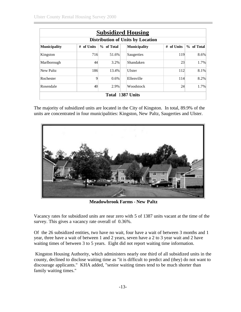| <b>Subsidized Housing</b> |                                          |            |                  |               |                           |  |  |  |  |  |  |
|---------------------------|------------------------------------------|------------|------------------|---------------|---------------------------|--|--|--|--|--|--|
|                           | <b>Distribution of Units by Location</b> |            |                  |               |                           |  |  |  |  |  |  |
| <b>Municipality</b>       | of Units<br>#                            | % of Total | Municipality     | of Units<br># | of Total<br>$\frac{0}{0}$ |  |  |  |  |  |  |
| Kingston                  | 716                                      | 51.6%      | Saugerties       | 119           | 8.6%                      |  |  |  |  |  |  |
| Marlborough               | 44                                       | 3.2%       | Shandaken        | 23            | 1.7%                      |  |  |  |  |  |  |
| New Paltz                 | 186                                      | 13.4%      | Ulster           | 112           | 8.1%                      |  |  |  |  |  |  |
| Rochester                 | 9                                        | 0.6%       | Ellenville       | 114           | 8.2%                      |  |  |  |  |  |  |
| Rosendale                 | 40                                       | 2.9%       | Woodstock        | 24            | $1.7\%$                   |  |  |  |  |  |  |
|                           |                                          |            | Total 1387 Units |               |                           |  |  |  |  |  |  |

The majority of subsidized units are located in the City of Kingston. In total, 89.9% of the units are concentrated in four municipalities: Kingston, New Paltz, Saugerties and Ulster.



**Meadowbrook Farms - New Paltz**

Vacancy rates for subsidized units are near zero with 5 of 1387 units vacant at the time of the survey. This gives a vacancy rate overall of  $0.36\%$ .

Of the 26 subsidized entities, two have no wait, four have a wait of between 3 months and 1 year, three have a wait of between 1 and 2 years, seven have a 2 to 3 year wait and 2 have waiting times of between 3 to 5 years. Eight did not report waiting time information.

 Kingston Housing Authority, which administers nearly one third of all subsidized units in the county, declined to disclose waiting time as "it is difficult to predict and (they) do not want to discourage applicants." KHA added, "senior waiting times tend to be much shorter than family waiting times."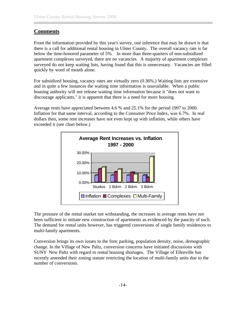#### <span id="page-17-0"></span>**Comments**

From the information provided by this year's survey, one inference that may be drawn is that there is a call for additional rental housing in Ulster County. The overall vacancy rate is far below the time-honored parameter of 5%. In more than three-quarters of non-subsidized apartment complexes surveyed, there are no vacancies. A majority of apartment complexes surveyed do not keep waiting lists, having found that this is unnecessary. Vacancies are filled quickly by word of mouth alone.

For subsidized housing, vacancy rates are virtually zero (0.36%.) Waiting lists are extensive and in quite a few instances the waiting time information is unavailable. When a public housing authority will not release waiting time information because it "does not want to discourage applicants," it is apparent that there is a need for more housing.

Average rents have appreciated between 4.6 % and 25.1% for the period 1997 to 2000. Inflation for that same interval, according to the Consumer Price Index, was 6.7%. In real dollars then, some rent increases have not even kept up with inflation, while others have exceeded it (see chart below.)



The pressure of the rental market not withstanding, the increases in average rents have not been sufficient to initiate new construction of apartments as evidenced by the paucity of such. The demand for rental units however, has triggered conversions of single family residences to multi-family apartments.

Conversion brings its own issues to the fore; parking, population density, noise, demographic change. In the Village of New Paltz, conversion concerns have initiated discussions with SUNY New Paltz with regard to rental housing shortages. The Village of Ellenville has recently amended their zoning statute restricting the location of multi-family units due to the number of conversions.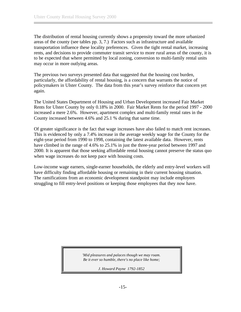The distribution of rental housing currently shows a propensity toward the more urbanized areas of the county (see tables pp. 3, 7.) Factors such as infrastructure and available transportation influence these locality preferences. Given the tight rental market, increasing rents, and decisions to provide commuter transit service to more rural areas of the county, it is to be expected that where permitted by local zoning, conversion to multi-family rental units may occur in more outlying areas.

The previous two surveys presented data that suggested that the housing cost burden, particularly, the affordability of rental housing, is a concern that warrants the notice of policymakers in Ulster County. The data from this year's survey reinforce that concern yet again.

The United States Department of Housing and Urban Development increased Fair Market Rents for Ulster County by only 0.18% in 2000. Fair Market Rents for the period 1997 - 2000 increased a mere 2.6%. However, apartment complex and multi-family rental rates in the County increased between 4.6% and 25.1 % during that same time.

Of greater significance is the fact that wage increases have also failed to match rent increases. This is evidenced by only a 7.4% increase in the average weekly wage for the County for the eight-year period from 1990 to 1998, containing the latest available data. However, rents have climbed in the range of 4.6% to 25.1% in just the three-year period between 1997 and 2000. It is apparent that those seeking affordable rental housing cannot preserve the status quo when wage increases do not keep pace with housing costs.

Low-income wage earners, single-earner households, the elderly and entry-level workers will have difficulty finding affordable housing or remaining in their current housing situation. The ramifications from an economic development standpoint may include employers struggling to fill entry-level positions or keeping those employees that they now have.

> *'Mid pleasures and palaces though we may roam. Be it ever so humble, there's no place like home;*

> > *J. Howard Payne 1792-1852*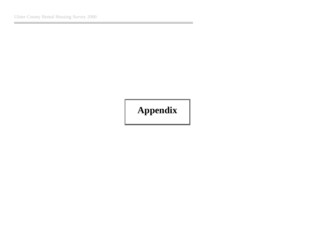# <span id="page-19-0"></span>**Appendix**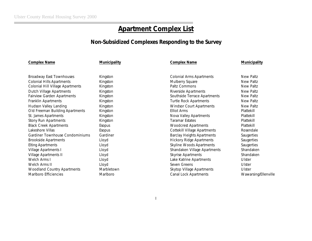# **Apartment Complex List**

#### **Non-Subsidized Complexes Responding to the Survey**

#### **Complex Name Municipality Complex Name Municipality**

| Broadway East Townhouses           | Kingston   | COIONIAL ATTIS ADALIMENTS         | New Pallz         |
|------------------------------------|------------|-----------------------------------|-------------------|
| <b>Colonial Hills Apartments</b>   | Kingston   | Mulberry Square                   | New Paltz         |
| Colonial Hill Village Apartments   | Kingston   | Paltz Commons                     | New Paltz         |
| Dutch Village Apartments           | Kingston   | Riverside Apartments              | New Paltz         |
| <b>Fairview Garden Apartments</b>  | Kingston   | Southside Terrace Apartments      | New Paltz         |
| Franklin Apartments                | Kingston   | <b>Turtle Rock Apartments</b>     | New Paltz         |
| Hudson Valley Landing              | Kingston   | <b>Windsor Court Apartments</b>   | New Paltz         |
| Old Freeman Building Apartments    | Kingston   | Elliot Arms                       | Plattekill        |
| St. James Apartments               | Kingston   | Nova Valley Apartments            | Plattekill        |
| Stony Run Apartments               | Kingston   | <b>Taramar Estates</b>            | Plattekill        |
| <b>Black Creek Apartments</b>      | Esopus     | <b>Woodcrest Apartments</b>       | Plattekill        |
| Lakeshore Villas                   | Esopus     | Cottekill Village Apartments      | Rosendale         |
| Gardiner Townhouse Condominiums    | Gardiner   | <b>Barclay Heights Apartments</b> | <b>Saugerties</b> |
| Brookside Apartments               | Lloyd      | <b>Hickory Ridge Apartments</b>   | <b>Saugerties</b> |
| <b>Elting Apartments</b>           | Lloyd      | Skyline Woods Apartments          | Saugerties        |
| Village Apartments I               | Lloyd      | Shandaken Village Apartments      | Shandaken         |
| Village Apartments II              | Lloyd      | Skyrise Apartments                | Shandaken         |
| Welch Arms I                       | Lloyd      | Lake Katrine Apartments           | Ulster            |
| Welch Arms II                      | Lloyd      | Seven Greens                      | Ulster            |
| <b>Woodland Country Apartments</b> | Marbletown | Skytop Village Apartments         | Ulster            |
| Marlboro Efficiencies              | Marlboro   | Canal Lock Apartments             | Wawarsing         |
|                                    |            |                                   |                   |

| <b>Broadway East Townhouses</b>   | Kingston   | <b>Colonial Arms Apartments</b>   | New Paltz            |
|-----------------------------------|------------|-----------------------------------|----------------------|
| <b>Colonial Hills Apartments</b>  | Kingston   | Mulberry Square                   | New Paltz            |
| Colonial Hill Village Apartments  | Kingston   | Paltz Commons                     | New Paltz            |
| Dutch Village Apartments          | Kingston   | Riverside Apartments              | New Paltz            |
| <b>Fairview Garden Apartments</b> | Kingston   | Southside Terrace Apartments      | New Paltz            |
| Franklin Apartments               | Kingston   | <b>Turtle Rock Apartments</b>     | New Paltz            |
| Hudson Valley Landing             | Kingston   | Windsor Court Apartments          | New Paltz            |
| Old Freeman Building Apartments   | Kingston   | Elliot Arms                       | Plattekill           |
| St. James Apartments              | Kingston   | Nova Valley Apartments            | Plattekill           |
| Stony Run Apartments              | Kingston   | <b>Taramar Estates</b>            | Plattekill           |
| <b>Black Creek Apartments</b>     | Esopus     | <b>Woodcrest Apartments</b>       | Plattekill           |
| Lakeshore Villas                  | Esopus     | Cottekill Village Apartments      | Rosendale            |
| Gardiner Townhouse Condominiums   | Gardiner   | <b>Barclay Heights Apartments</b> | Saugerties           |
| <b>Brookside Apartments</b>       | Lloyd      | <b>Hickory Ridge Apartments</b>   | Saugerties           |
| <b>Elting Apartments</b>          | Lloyd      | Skyline Woods Apartments          | Saugerties           |
| Village Apartments I              | Lloyd      | Shandaken Village Apartments      | Shandaken            |
| Village Apartments II             | Lloyd      | Skyrise Apartments                | Shandaken            |
| Welch Arms I                      | Lloyd      | Lake Katrine Apartments           | Ulster               |
| Welch Arms II                     | Lloyd      | Seven Greens                      | Ulster               |
| Woodland Country Apartments       | Marbletown | Skytop Village Apartments         | Ulster               |
| Marlboro Efficiencies             | Marlboro   | <b>Canal Lock Apartments</b>      | Wawarsing/Ellenville |
|                                   |            |                                   |                      |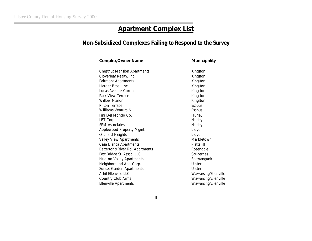# **Apartment Complex List**

# **Non-Subsidized Complexes Failing to Respond to the Survey**

| <b>Complex/Owner Name</b>          | Municipality         |
|------------------------------------|----------------------|
|                                    |                      |
| <b>Chestnut Mansion Apartments</b> | Kingston             |
| Cloverleaf Realty, Inc.            | Kingston             |
| <b>Fairmont Apartments</b>         | Kingston             |
| Harder Bros., Inc.                 | Kingston             |
| Lucas Avenue Corner                | Kingston             |
| Park View Terrace                  | Kingston             |
| <b>Willow Manor</b>                | Kingston             |
| <b>Rifton Terrace</b>              | Esopus               |
| Williams Ventura 6                 | Esopus               |
| Fini Del Mondo Co.                 | Hurley               |
| LBT Corp.                          | Hurley               |
| <b>SPM Associates</b>              | Hurley               |
| Applewood Property Mgmt.           | Lloyd                |
| <b>Orchard Heights</b>             | Lloyd                |
| Valley View Apartments             | Marbletown           |
| Casa Bianca Apartments             | Plattekill           |
| Betterton's River Rd. Apartments   | Rosendale            |
| East Bridge St. Assoc. LLC         | Saugerties           |
| Hudson Valley Apartments           | Shawangunk           |
| Neighborhood Apt. Corp.            | Ulster               |
| Sunset Garden Apartments           | Ulster               |
| Ashil Fllenville LLC               | Wawarsing/Ellenville |
| Country Club Arms                  | Wawarsing/Ellenville |
| <b>Ellenville Apartments</b>       | Wawarsing/Ellenville |
|                                    |                      |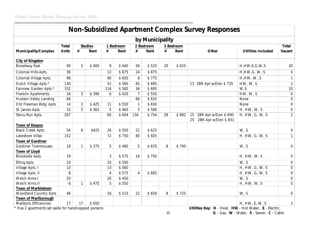| <b>Non-Subsidized Apartment Complex Survey Responses</b> |              |                |                |           |       |                |           |    |           |                                                        |                           |                  |
|----------------------------------------------------------|--------------|----------------|----------------|-----------|-------|----------------|-----------|----|-----------|--------------------------------------------------------|---------------------------|------------------|
| by Municipality                                          |              |                |                |           |       |                |           |    |           |                                                        |                           |                  |
|                                                          | <b>Total</b> |                | <b>Studios</b> | 1 Bedroom |       |                | 2 Bedroom |    | 3 Bedroom |                                                        |                           | Total            |
| <b>Municipality/Complex</b>                              | <b>Units</b> | #              | Rent           | #         | Rent  | #              | Rent      | #  | Rent      | Other                                                  | <b>Utilities Included</b> | Vacant           |
| <b>City of Kingston</b>                                  |              |                |                |           |       |                |           |    |           |                                                        |                           |                  |
| <b>Broadway East</b>                                     | 90           | 5              | \$400          | 9         | \$440 | 56             | \$525     | 20 | \$625     |                                                        | H, HW, E, G, W, S         | 20               |
| Colonial Hills Apts.                                     | 36           |                |                | 12        | \$675 | 24             | \$875     |    |           |                                                        | H, HW, G, W, S            | $\overline{0}$   |
| Colonial Village Apts.                                   | 98           |                |                | 90        | \$650 | 8              | \$775     |    |           |                                                        | H,HW, W, S                | $\mathbf{1}$     |
| Dutch Village Apts.*                                     | 130          |                |                | 52        | \$560 | 65             | \$695     |    |           | 13 2BR Apt w/Den \$735                                 | HW, W, S                  | $\overline{2}$   |
| Fairview Garden Apts.*                                   | 152          |                |                | 116       | \$585 | 36             | \$695     |    |           |                                                        | W, S                      | 10               |
| Franklin Apartments                                      | 16           | 3              | \$390          | 6         | \$420 | $\overline{7}$ | \$550     |    |           |                                                        | HW, W, S                  | $\mathbf 0$      |
| Hudson Valley Landing                                    | 66           |                |                |           |       | 66             | \$625     |    |           |                                                        | None                      | $\overline{0}$   |
| Old Freeman Bldg. Apts                                   | 14           | $\overline{2}$ | \$425          | 11        | \$550 | $\mathbf{1}$   | \$650     |    |           |                                                        | None                      | $\boldsymbol{0}$ |
| St. James Apts.                                          | 15           | 5              | \$ 365         | 5         | \$465 | 5              | \$580     |    |           |                                                        | H, HW, W, S               | $\boldsymbol{0}$ |
| Stony Run Apts.                                          | 267          |                |                | 65        | \$604 | 134            | \$754     | 28 | \$892     | 1BR Apt w/Den \$690<br>15<br>2BR Apt w/Den \$831<br>25 | H, HW, G, W, S            | $\overline{2}$   |
| <b>Town of Esopus</b>                                    |              |                |                |           |       |                |           |    |           |                                                        |                           |                  |
| Black Creek Apts.                                        | 54           | 6              | \$425          | 26        | \$550 | 22             | \$625     |    |           |                                                        | W, S                      | $\boldsymbol{0}$ |
| Lakeshore Villas                                         | 152          |                |                | 72        | \$750 | 80             | \$925     |    |           |                                                        | H, HW, G, W, S            | $\mathbf{1}$     |
| <b>Town of Gardiner</b>                                  |              |                |                |           |       |                |           |    |           |                                                        |                           |                  |
| <b>Gardiner Townhouses</b>                               | 19           | 1              | \$375          | 5         | \$480 | 5              | \$670     | 8  | \$700     |                                                        | W, S                      | $\boldsymbol{0}$ |
| <b>Town of Lloyd</b>                                     |              |                |                |           |       |                |           |    |           |                                                        |                           |                  |
| Brookside Apts.                                          | 19           |                |                | 3         | \$575 | 16             | \$750     |    |           |                                                        | H, HW, W, S               | $\boldsymbol{0}$ |
| Elting Apts.                                             | 10           |                |                | 10        | \$550 |                |           |    |           |                                                        | W, S                      | $\boldsymbol{0}$ |
| Village Apts. I                                          | 13           |                |                | 13        | \$560 |                |           |    |           |                                                        | H, HW, G, W, S            | $\boldsymbol{0}$ |
| Village Apts. II                                         | 8            |                |                | 4         | \$575 | $\overline{4}$ | \$665     |    |           |                                                        | H, HW, G, W, S            | $\boldsymbol{0}$ |
| Welch Arms I                                             | 20           |                |                | 20        | \$450 |                |           |    |           |                                                        | W, S                      | $\overline{0}$   |
| Welch Arms II                                            | 6            | 1              | \$475          | 5         | \$550 |                |           |    |           |                                                        | H, HW, W, S               | $\overline{0}$   |
| Town of Marbletown<br><b>Woodland Country Apts</b>       | 46           |                |                | 16        | \$515 | 22             | \$650     | 8  | \$725     |                                                        | W, S                      | $\boldsymbol{0}$ |
| Town of Marlborough                                      |              |                |                |           |       |                |           |    |           |                                                        |                           |                  |
| Marlboro Efficiencies                                    | 17           | 17             | \$650          |           |       |                |           |    |           |                                                        | H, HW, E, W, S            | 3                |

\* Has 2 apartments set aside for handicapped persons **Utilities Key: H** - Heat, **HW** - Hot Water, **E** - Electric,

III **G** - Gas, **W** - Water, **S** - Sewer, **C** - Cable